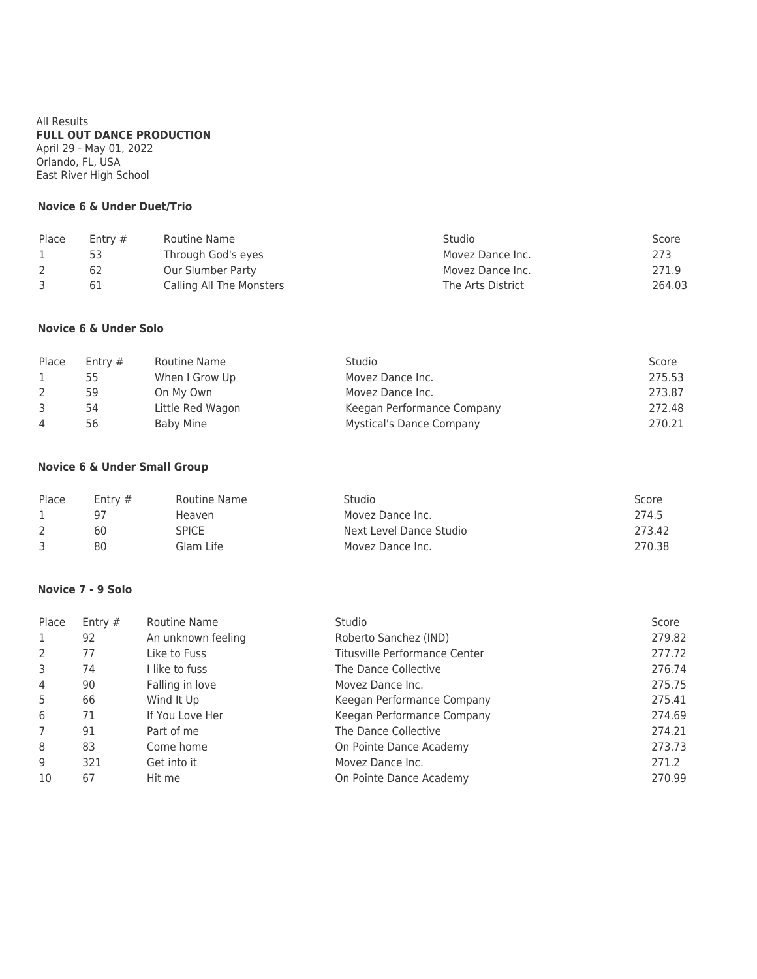All Results **FULL OUT DANCE PRODUCTION** April 29 - May 01, 2022 Orlando, FL, USA East River High School

#### **Novice 6 & Under Duet/Trio**

| Place | Entry $#$ | Routine Name             | Studio            | Score  |
|-------|-----------|--------------------------|-------------------|--------|
|       |           | Through God's eyes       | Movez Dance Inc.  | 273    |
|       |           | Our Slumber Party        | Movez Dance Inc.  | 271.9  |
|       | 61        | Calling All The Monsters | The Arts District | 264.03 |

## **Novice 6 & Under Solo**

| Place          | Entry $#$ | Routine Name     | Studio                          | Score  |
|----------------|-----------|------------------|---------------------------------|--------|
|                | 55        | When I Grow Up   | Movez Dance Inc.                | 275.53 |
|                | 59        | On My Own        | Movez Dance Inc.                | 273.87 |
|                | 54        | Little Red Wagon | Keegan Performance Company      | 272.48 |
| $\overline{4}$ | 56        | Baby Mine        | <b>Mystical's Dance Company</b> | 270.21 |

#### **Novice 6 & Under Small Group**

| Place | Entry $#$ | Routine Name | Studio                  | Score  |
|-------|-----------|--------------|-------------------------|--------|
|       | 97        | Heaven       | Movez Dance Inc.        | 274.5  |
|       | 60        | SPICE        | Next Level Dance Studio | 273.42 |
| 3     | 80        | Glam Life    | Movez Dance Inc.        | 270.38 |

#### **Novice 7 - 9 Solo**

| Place          | Entry $#$ | Routine Name       | Studio                        | Score  |
|----------------|-----------|--------------------|-------------------------------|--------|
| 1              | 92        | An unknown feeling | Roberto Sanchez (IND)         | 279.82 |
| 2              | 77        | Like to Fuss       | Titusville Performance Center | 277.72 |
| 3              | 74        | I like to fuss     | The Dance Collective          | 276.74 |
| 4              | 90        | Falling in love    | Movez Dance Inc.              | 275.75 |
| 5              | 66        | Wind It Up         | Keegan Performance Company    | 275.41 |
| 6              | 71        | If You Love Her    | Keegan Performance Company    | 274.69 |
| $\overline{7}$ | 91        | Part of me         | The Dance Collective          | 274.21 |
| 8              | 83        | Come home          | On Pointe Dance Academy       | 273.73 |
| 9              | 321       | Get into it        | Movez Dance Inc.              | 271.2  |
| 10             | 67        | Hit me             | On Pointe Dance Academy       | 270.99 |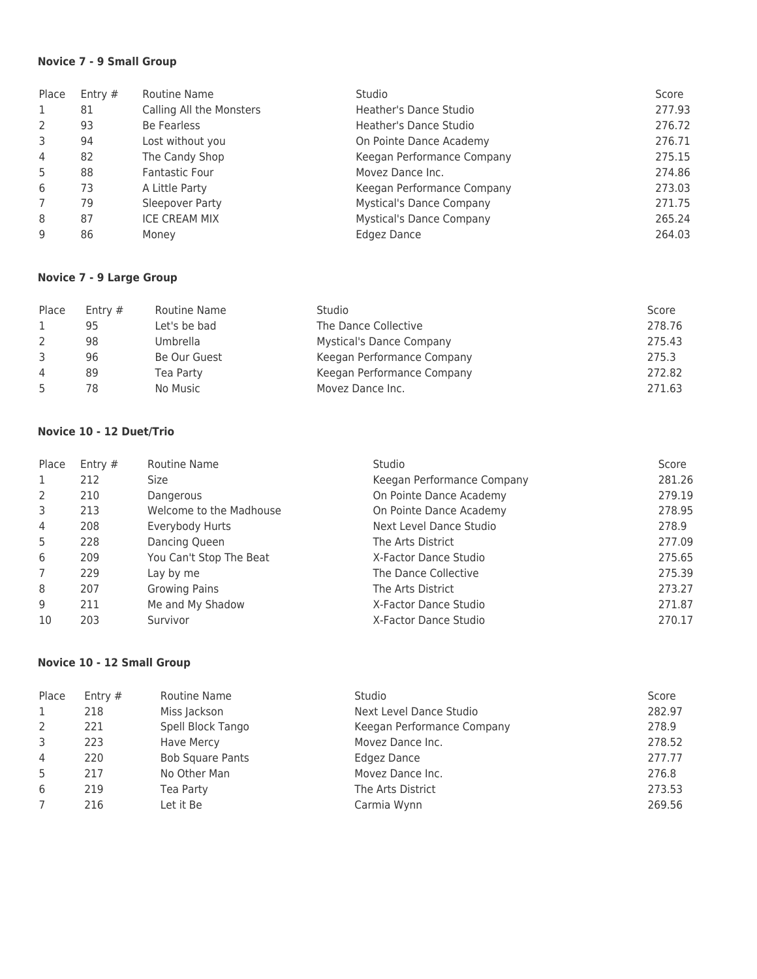# **Novice 7 - 9 Small Group**

| Place | Entry $#$ | Routine Name             | Studio                          | Score  |
|-------|-----------|--------------------------|---------------------------------|--------|
| 1     | 81        | Calling All the Monsters | Heather's Dance Studio          | 277.93 |
| 2     | 93        | Be Fearless              | Heather's Dance Studio          | 276.72 |
| 3     | 94        | Lost without you         | On Pointe Dance Academy         | 276.71 |
| 4     | 82        | The Candy Shop           | Keegan Performance Company      | 275.15 |
| 5     | 88        | <b>Fantastic Four</b>    | Movez Dance Inc.                | 274.86 |
| 6     | 73        | A Little Party           | Keegan Performance Company      | 273.03 |
| 7     | 79        | Sleepover Party          | <b>Mystical's Dance Company</b> | 271.75 |
| 8     | 87        | <b>ICE CREAM MIX</b>     | <b>Mystical's Dance Company</b> | 265.24 |
| 9     | 86        | Money                    | Edgez Dance                     | 264.03 |

# **Novice 7 - 9 Large Group**

| Place          | Entry $#$ | Routine Name | <b>Studio</b>                   | Score  |
|----------------|-----------|--------------|---------------------------------|--------|
|                | 95        | Let's be bad | The Dance Collective            | 278.76 |
|                | 98        | Umbrella     | <b>Mystical's Dance Company</b> | 275.43 |
|                | 96        | Be Our Guest | Keegan Performance Company      | 275.3  |
| $\overline{4}$ | 89        | Tea Party    | Keegan Performance Company      | 272.82 |
|                | 78        | No Music     | Movez Dance Inc.                | 271.63 |

# **Novice 10 - 12 Duet/Trio**

| Place | Entry $#$ | Routine Name            | Studio                     | Score  |
|-------|-----------|-------------------------|----------------------------|--------|
| 1     | 212       | Size                    | Keegan Performance Company | 281.26 |
| 2     | 210       | Dangerous               | On Pointe Dance Academy    | 279.19 |
| 3     | 213       | Welcome to the Madhouse | On Pointe Dance Academy    | 278.95 |
| 4     | 208       | Everybody Hurts         | Next Level Dance Studio    | 278.9  |
| 5     | 228       | Dancing Queen           | The Arts District          | 277.09 |
| 6     | 209       | You Can't Stop The Beat | X-Factor Dance Studio      | 275.65 |
| 7     | 229       | Lay by me               | The Dance Collective       | 275.39 |
| 8     | 207       | <b>Growing Pains</b>    | The Arts District          | 273.27 |
| 9     | 211       | Me and My Shadow        | X-Factor Dance Studio      | 271.87 |
| 10    | 203       | Survivor                | X-Factor Dance Studio      | 270.17 |

# **Novice 10 - 12 Small Group**

| Place | Entry $#$ | Routine Name            | Studio                     | Score  |
|-------|-----------|-------------------------|----------------------------|--------|
|       | 218       | Miss Jackson            | Next Level Dance Studio    | 282.97 |
| 2     | 221       | Spell Block Tango       | Keegan Performance Company | 278.9  |
| 3     | 223       | Have Mercy              | Movez Dance Inc.           | 278.52 |
| 4     | 220       | <b>Bob Square Pants</b> | Edgez Dance                | 277.77 |
| 5     | 217       | No Other Man            | Movez Dance Inc.           | 276.8  |
| 6     | 219       | Tea Party               | The Arts District          | 273.53 |
|       | 216       | Let it Be               | Carmia Wynn                | 269.56 |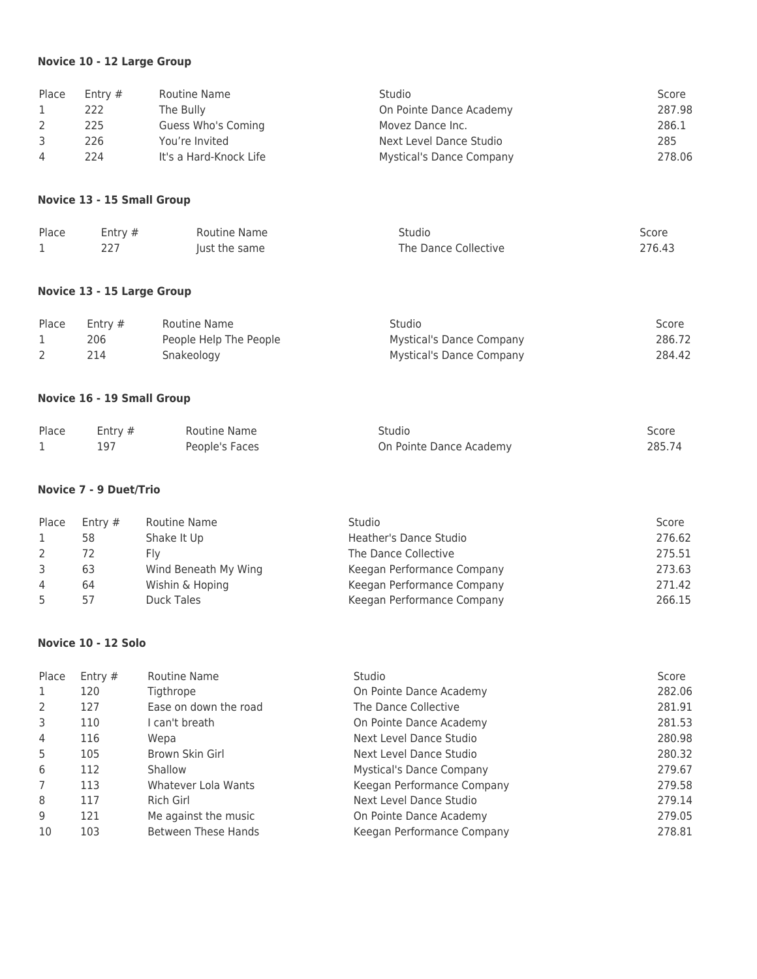# **Novice 10 - 12 Large Group**

| Place        | Entry #                       | Routine Name           | Studio                          | Score  |
|--------------|-------------------------------|------------------------|---------------------------------|--------|
| 1            | 222                           | The Bully              | On Pointe Dance Academy         | 287.98 |
| 2            | 225                           | Guess Who's Coming     | Movez Dance Inc.                | 286.1  |
| 3            | 226                           | You're Invited         | Next Level Dance Studio         | 285    |
| 4            | 224                           | It's a Hard-Knock Life | <b>Mystical's Dance Company</b> | 278.06 |
|              | Novice 13 - 15 Small Group    |                        |                                 |        |
| Place        | Entry #                       | <b>Routine Name</b>    | Studio                          | Score  |
| 1            | 227                           | Just the same          | The Dance Collective            | 276.43 |
|              | Novice 13 - 15 Large Group    |                        |                                 |        |
| Place        | Entry #                       | Routine Name           | Studio                          | Score  |
| 1            | 206                           | People Help The People | <b>Mystical's Dance Company</b> | 286.72 |
| 2            | 214                           | Snakeology             | <b>Mystical's Dance Company</b> | 284.42 |
|              | Novice 16 - 19 Small Group    |                        |                                 |        |
| Place        | Entry #                       | Routine Name           | Studio                          | Score  |
| $\mathbf{1}$ | 197                           | People's Faces         | On Pointe Dance Academy         | 285.74 |
|              | <b>Novice 7 - 9 Duet/Trio</b> |                        |                                 |        |
| Place        | Entry #                       | <b>Routine Name</b>    | Studio                          | Score  |
| 1            | 58                            | Shake It Up            | <b>Heather's Dance Studio</b>   | 276.62 |
| 2            | 72                            | Fly                    | The Dance Collective            | 275.51 |
| 3            | 63                            | Wind Beneath My Wing   | Keegan Performance Company      | 273.63 |
| 4            | 64                            | Wishin & Hoping        | Keegan Performance Company      | 271.42 |
| 5            | 57                            | <b>Duck Tales</b>      | Keegan Performance Company      | 266.15 |
|              | Novice 10 - 12 Solo           |                        |                                 |        |
| Place        | Entry #                       | <b>Routine Name</b>    | Studio                          | Score  |
| 1            | 120                           | Tigthrope              | On Pointe Dance Academy         | 282.06 |
| 2            | 127                           | Ease on down the road  | The Dance Collective            | 281.91 |
| 3            | 110                           | I can't breath         | On Pointe Dance Academy         | 281.53 |
| 4            | 116                           | Wepa                   | Next Level Dance Studio         | 280.98 |
| 5            | 105                           | Brown Skin Girl        | Next Level Dance Studio         | 280.32 |
| 6            | 112                           | Shallow                | <b>Mystical's Dance Company</b> | 279.67 |
| 7            | 113                           | Whatever Lola Wants    | Keegan Performance Company      | 279.58 |
| 8            | 117                           | Rich Girl              | Next Level Dance Studio         | 279.14 |

9 121 Me against the music COM Con Pointe Dance Academy 279.05 103 Between These Hands Keegan Performance Company 278.81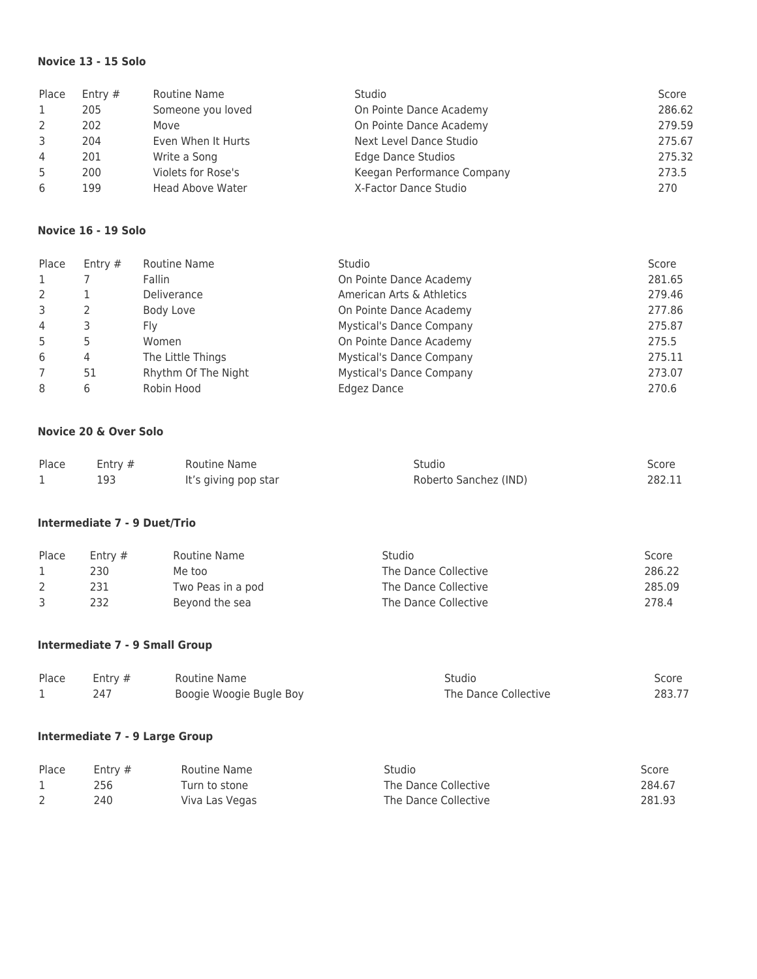## **Novice 13 - 15 Solo**

| Place          | Entry $#$ | Routine Name       | <b>Studio</b>              | Score  |
|----------------|-----------|--------------------|----------------------------|--------|
|                | 205       | Someone you loved  | On Pointe Dance Academy    | 286.62 |
| 2              | 202       | Move               | On Pointe Dance Academy    | 279.59 |
| 3              | 204       | Even When It Hurts | Next Level Dance Studio    | 275.67 |
| $\overline{4}$ | 201       | Write a Song       | Edge Dance Studios         | 275.32 |
| .5             | 200       | Violets for Rose's | Keegan Performance Company | 273.5  |
| 6              | 199       | Head Above Water   | X-Factor Dance Studio      | 270    |

#### **Novice 16 - 19 Solo**

| Place          | Entry $#$ | Routine Name        | Studio                          | Score  |
|----------------|-----------|---------------------|---------------------------------|--------|
|                |           | Fallin              | On Pointe Dance Academy         | 281.65 |
| $\mathcal{P}$  |           | Deliverance         | American Arts & Athletics       | 279.46 |
| 3              |           | Body Love           | On Pointe Dance Academy         | 277.86 |
| $\overline{4}$ |           | Flv                 | <b>Mystical's Dance Company</b> | 275.87 |
|                |           | Women               | On Pointe Dance Academy         | 275.5  |
| 6              | 4         | The Little Things   | <b>Mystical's Dance Company</b> | 275.11 |
|                | 51        | Rhythm Of The Night | <b>Mystical's Dance Company</b> | 273.07 |
| 8              |           | Robin Hood          | Edgez Dance                     | 270.6  |

#### **Novice 20 & Over Solo**

| Place | Entry $#$ | Routine Name         | Studio                | Score  |
|-------|-----------|----------------------|-----------------------|--------|
|       | 193       | It's giving pop star | Roberto Sanchez (IND) | 282.11 |

### **Intermediate 7 - 9 Duet/Trio**

| Place | Entry $#$ | Routine Name      | Studio               | Score  |
|-------|-----------|-------------------|----------------------|--------|
|       | 230       | Me too            | The Dance Collective | 286.22 |
|       | 231       | Two Peas in a pod | The Dance Collective | 285.09 |
|       | 232       | Beyond the sea    | The Dance Collective | 278.4  |

#### **Intermediate 7 - 9 Small Group**

| Place | Entry $#$ | Routine Name            | Studio               | Score  |
|-------|-----------|-------------------------|----------------------|--------|
|       |           | Boogie Woogie Bugle Boy | The Dance Collective | 283.77 |

# **Intermediate 7 - 9 Large Group**

| Place | Entry $#$ | Routine Name   | Studio               | Score  |
|-------|-----------|----------------|----------------------|--------|
|       | 256       | Turn to stone  | The Dance Collective | 284.67 |
|       | 240       | Viva Las Vegas | The Dance Collective | 281.93 |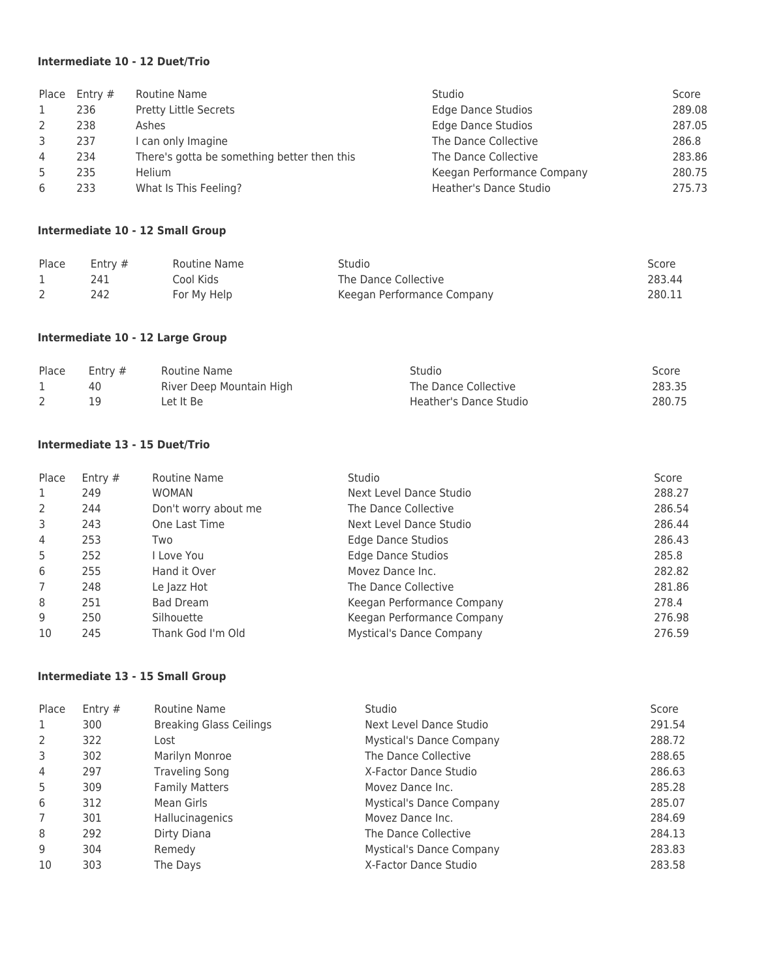### **Intermediate 10 - 12 Duet/Trio**

|   | Place $_{\rm Entry}$ # | Routine Name                                | Studio                     | Score  |
|---|------------------------|---------------------------------------------|----------------------------|--------|
|   | 236                    | Pretty Little Secrets                       | <b>Edge Dance Studios</b>  | 289.08 |
| 2 | 238                    | Ashes                                       | <b>Edge Dance Studios</b>  | 287.05 |
| 3 | 237                    | can only Imagine                            | The Dance Collective       | 286.8  |
| 4 | 234                    | There's gotta be something better then this | The Dance Collective       | 283.86 |
| 5 | 235                    | <b>Helium</b>                               | Keegan Performance Company | 280.75 |
| 6 | 233                    | What Is This Feeling?                       | Heather's Dance Studio     | 275.73 |

#### **Intermediate 10 - 12 Small Group**

| Place | Entry $#$ | Routine Name | Studio                     | Score  |
|-------|-----------|--------------|----------------------------|--------|
|       | 241       | Cool Kids    | The Dance Collective       | 283.44 |
|       | 242       | For My Help  | Keegan Performance Company | 280.11 |

# **Intermediate 10 - 12 Large Group**

| Place | Entry $#$ | Routine Name             | Studio                 | Score  |
|-------|-----------|--------------------------|------------------------|--------|
|       | 40        | River Deep Mountain High | The Dance Collective   | 283.35 |
|       |           | Let It Be                | Heather's Dance Studio | 280.75 |

### **Intermediate 13 - 15 Duet/Trio**

| Place          | Entry $#$ | Routine Name         | Studio                          | Score  |
|----------------|-----------|----------------------|---------------------------------|--------|
| 1              | 249       | <b>WOMAN</b>         | Next Level Dance Studio         | 288.27 |
| 2              | 244       | Don't worry about me | The Dance Collective            | 286.54 |
| 3              | 243       | One Last Time        | Next Level Dance Studio         | 286.44 |
| 4              | 253       | Two                  | Edge Dance Studios              | 286.43 |
| 5              | 252       | I Love You           | Edge Dance Studios              | 285.8  |
| 6              | 255       | Hand it Over         | Movez Dance Inc.                | 282.82 |
| $\overline{7}$ | 248       | Le Jazz Hot          | The Dance Collective            | 281.86 |
| 8              | 251       | Bad Dream            | Keegan Performance Company      | 278.4  |
| 9              | 250       | Silhouette           | Keegan Performance Company      | 276.98 |
| 10             | 245       | Thank God I'm Old    | <b>Mystical's Dance Company</b> | 276.59 |

# **Intermediate 13 - 15 Small Group**

| Place | Entry $#$ | Routine Name                   | Studio                          | Score  |
|-------|-----------|--------------------------------|---------------------------------|--------|
| 1     | 300       | <b>Breaking Glass Ceilings</b> | Next Level Dance Studio         | 291.54 |
| 2     | 322       | Lost                           | <b>Mystical's Dance Company</b> | 288.72 |
| 3     | 302       | Marilyn Monroe                 | The Dance Collective            | 288.65 |
| 4     | 297       | Traveling Song                 | X-Factor Dance Studio           | 286.63 |
| 5     | 309       | <b>Family Matters</b>          | Movez Dance Inc.                | 285.28 |
| 6     | 312       | Mean Girls                     | <b>Mystical's Dance Company</b> | 285.07 |
| 7     | 301       | Hallucinagenics                | Movez Dance Inc.                | 284.69 |
| 8     | 292       | Dirty Diana                    | The Dance Collective            | 284.13 |
| 9     | 304       | Remedy                         | <b>Mystical's Dance Company</b> | 283.83 |
| 10    | 303       | The Days                       | X-Factor Dance Studio           | 283.58 |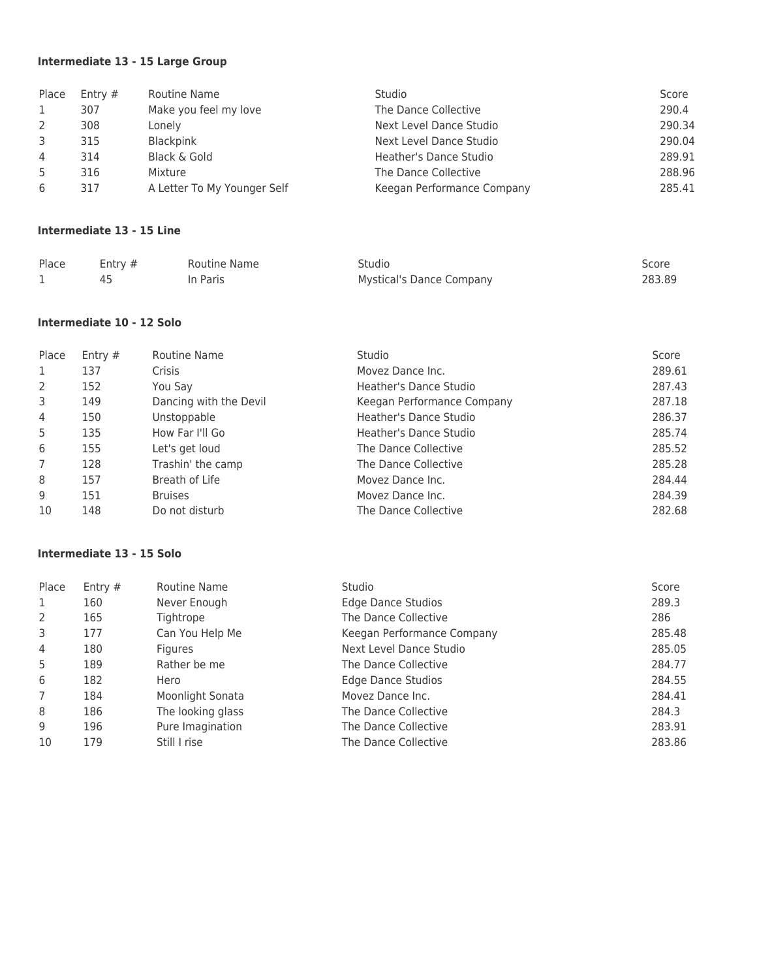# **Intermediate 13 - 15 Large Group**

| Place          | Entry # | Routine Name                | <b>Studio</b>              | Score  |
|----------------|---------|-----------------------------|----------------------------|--------|
| 1              | 307     | Make you feel my love       | The Dance Collective       | 290.4  |
| 2              | 308     | Lonely                      | Next Level Dance Studio    | 290.34 |
| 3              | 315     | <b>Blackpink</b>            | Next Level Dance Studio    | 290.04 |
| $\overline{4}$ | 314     | Black & Gold                | Heather's Dance Studio     | 289.91 |
| 5              | 316     | Mixture                     | The Dance Collective       | 288.96 |
| 6              | 317     | A Letter To My Younger Self | Keegan Performance Company | 285.41 |

#### **Intermediate 13 - 15 Line**

| Place | Entry $#$ | Routine Name | Studio                          | Score  |
|-------|-----------|--------------|---------------------------------|--------|
|       |           | In Paris     | <b>Mystical's Dance Company</b> | 283.89 |

## **Intermediate 10 - 12 Solo**

| Place | Entry $#$ | Routine Name           | Studio                        | Score  |
|-------|-----------|------------------------|-------------------------------|--------|
| 1     | 137       | Crisis                 | Movez Dance Inc.              | 289.61 |
| 2     | 152       | You Say                | Heather's Dance Studio        | 287.43 |
| 3     | 149       | Dancing with the Devil | Keegan Performance Company    | 287.18 |
| 4     | 150       | Unstoppable            | <b>Heather's Dance Studio</b> | 286.37 |
| 5     | 135       | How Far I'll Go        | Heather's Dance Studio        | 285.74 |
| 6     | 155       | Let's get loud         | The Dance Collective          | 285.52 |
|       | 128       | Trashin' the camp      | The Dance Collective          | 285.28 |
| 8     | 157       | Breath of Life         | Movez Dance Inc.              | 284.44 |
| 9     | 151       | <b>Bruises</b>         | Movez Dance Inc.              | 284.39 |
| 10    | 148       | Do not disturb         | The Dance Collective          | 282.68 |

### **Intermediate 13 - 15 Solo**

| Place | Entry $#$ | Routine Name      | Studio                     | Score  |
|-------|-----------|-------------------|----------------------------|--------|
| 1     | 160       | Never Enough      | Edge Dance Studios         | 289.3  |
| 2     | 165       | Tightrope         | The Dance Collective       | 286    |
| 3     | 177       | Can You Help Me   | Keegan Performance Company | 285.48 |
| 4     | 180       | <b>Figures</b>    | Next Level Dance Studio    | 285.05 |
| 5     | 189       | Rather be me      | The Dance Collective       | 284.77 |
| 6     | 182       | Hero              | <b>Edge Dance Studios</b>  | 284.55 |
| 7     | 184       | Moonlight Sonata  | Movez Dance Inc.           | 284.41 |
| 8     | 186       | The looking glass | The Dance Collective       | 284.3  |
| 9     | 196       | Pure Imagination  | The Dance Collective       | 283.91 |
| 10    | 179       | Still I rise      | The Dance Collective       | 283.86 |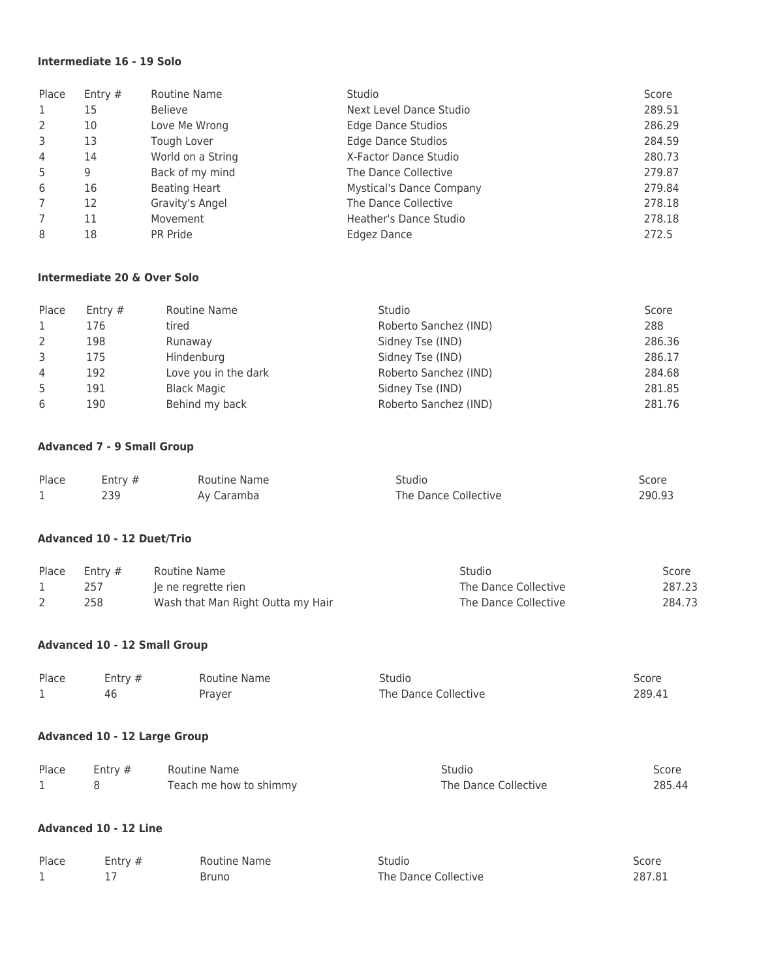### **Intermediate 16 - 19 Solo**

| Place          | Entry $#$ | Routine Name         | Studio                          | Score  |
|----------------|-----------|----------------------|---------------------------------|--------|
| 1              | 15        | <b>Believe</b>       | Next Level Dance Studio         | 289.51 |
| 2              | 10        | Love Me Wrong        | <b>Edge Dance Studios</b>       | 286.29 |
| 3              | 13        | Tough Lover          | <b>Edge Dance Studios</b>       | 284.59 |
| $\overline{4}$ | 14        | World on a String    | X-Factor Dance Studio           | 280.73 |
| 5              | 9         | Back of my mind      | The Dance Collective            | 279.87 |
| 6              | 16        | <b>Beating Heart</b> | <b>Mystical's Dance Company</b> | 279.84 |
| 7              | 12        | Gravity's Angel      | The Dance Collective            | 278.18 |
| 7              | 11        | Movement             | Heather's Dance Studio          | 278.18 |
| 8              | 18        | PR Pride             | Edgez Dance                     | 272.5  |

#### **Intermediate 20 & Over Solo**

| Place         | Entry $#$ | Routine Name         | Studio                | Score  |
|---------------|-----------|----------------------|-----------------------|--------|
|               | 176       | tired                | Roberto Sanchez (IND) | 288    |
| $\mathcal{L}$ | 198       | Runaway              | Sidney Tse (IND)      | 286.36 |
| 3             | 175       | Hindenburg           | Sidney Tse (IND)      | 286.17 |
| 4             | 192       | Love you in the dark | Roberto Sanchez (IND) | 284.68 |
| -5            | 191       | <b>Black Magic</b>   | Sidney Tse (IND)      | 281.85 |
| 6             | 190       | Behind my back       | Roberto Sanchez (IND) | 281.76 |

# **Advanced 7 - 9 Small Group**

| Place | Entry $#$ | Routine Name | Studio               | Score  |
|-------|-----------|--------------|----------------------|--------|
|       |           | Av Caramba   | The Dance Collective | 290.93 |

## **Advanced 10 - 12 Duet/Trio**

| Place | Entry $#$ | Routine Name                      | Studio               | Score  |
|-------|-----------|-----------------------------------|----------------------|--------|
|       | 257       | le ne regrette rien               | The Dance Collective | 287.23 |
|       | 258       | Wash that Man Right Outta my Hair | The Dance Collective | 284.73 |

#### **Advanced 10 - 12 Small Group**

| Place | Entry $#$ | Routine Name | Studio               | Score  |
|-------|-----------|--------------|----------------------|--------|
|       |           | Prayer       | The Dance Collective | 289.41 |

#### **Advanced 10 - 12 Large Group**

| Place | Entry $#$ | Routine Name           | Studio               | Score  |
|-------|-----------|------------------------|----------------------|--------|
|       |           | Teach me how to shimmy | The Dance Collective | 285.44 |

### **Advanced 10 - 12 Line**

| Place | Entry $#$ | Routine Name | Studio               | Score  |
|-------|-----------|--------------|----------------------|--------|
|       |           | Bruno        | The Dance Collective | 287.81 |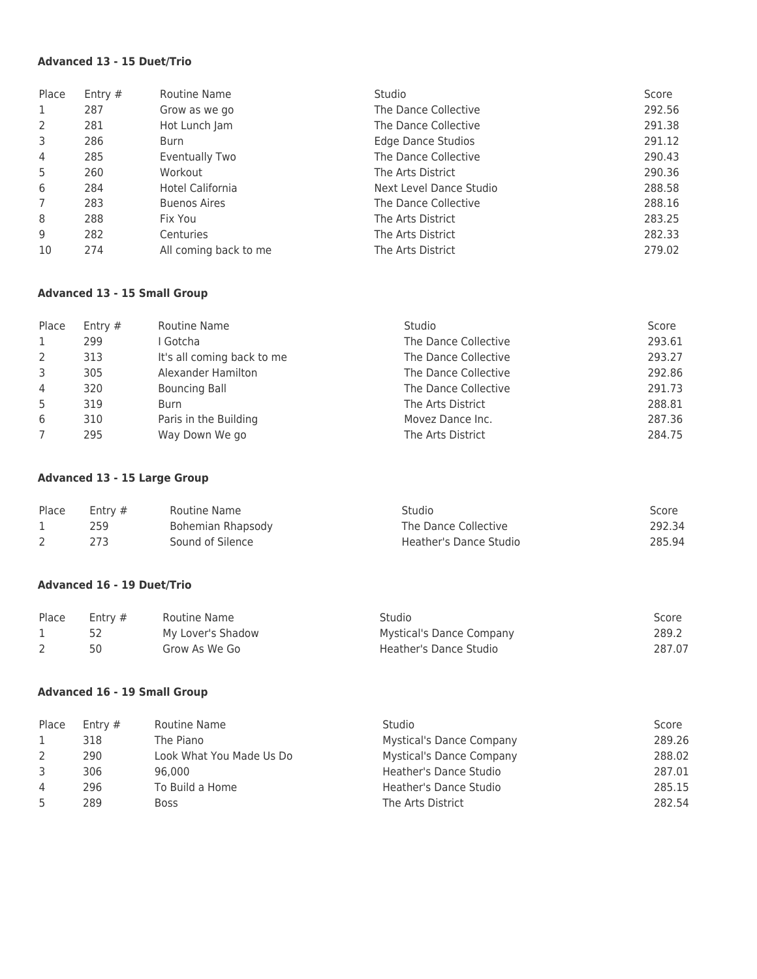### **Advanced 13 - 15 Duet/Trio**

| Place          | Entry $#$ | Routine Name            | <b>Studio</b>             | Score  |
|----------------|-----------|-------------------------|---------------------------|--------|
| 1              | 287       | Grow as we go           | The Dance Collective      | 292.56 |
| 2              | 281       | Hot Lunch Jam           | The Dance Collective      | 291.38 |
| 3              | 286       | Burn                    | <b>Edge Dance Studios</b> | 291.12 |
| 4              | 285       | Eventually Two          | The Dance Collective      | 290.43 |
| 5              | 260       | Workout                 | The Arts District         | 290.36 |
| 6              | 284       | <b>Hotel California</b> | Next Level Dance Studio   | 288.58 |
| $\overline{7}$ | 283       | <b>Buenos Aires</b>     | The Dance Collective      | 288.16 |
| 8              | 288       | Fix You                 | The Arts District         | 283.25 |
| 9              | 282       | Centuries               | The Arts District         | 282.33 |
| 10             | 274       | All coming back to me   | The Arts District         | 279.02 |

# **Advanced 13 - 15 Small Group**

| Place | Entry $#$ | Routine Name               | <b>Studio</b>        | Score  |
|-------|-----------|----------------------------|----------------------|--------|
| 1     | 299       | l Gotcha                   | The Dance Collective | 293.61 |
| 2     | 313       | It's all coming back to me | The Dance Collective | 293.27 |
| 3     | 305       | Alexander Hamilton         | The Dance Collective | 292.86 |
| 4     | 320       | <b>Bouncing Ball</b>       | The Dance Collective | 291.73 |
| 5     | 319       | Burn                       | The Arts District    | 288.81 |
| 6     | 310       | Paris in the Building      | Movez Dance Inc.     | 287.36 |
|       | 295       | Way Down We go             | The Arts District    | 284.75 |

#### **Advanced 13 - 15 Large Group**

| Place | Entry $#$ | Routine Name      | Studio                 | Score  |
|-------|-----------|-------------------|------------------------|--------|
|       | 259       | Bohemian Rhapsody | The Dance Collective   | 292.34 |
|       |           | Sound of Silence  | Heather's Dance Studio | 285.94 |

#### **Advanced 16 - 19 Duet/Trio**

| Place | Entry $#$ | Routine Name      | Studio                          | Score  |
|-------|-----------|-------------------|---------------------------------|--------|
|       |           | My Lover's Shadow | <b>Mystical's Dance Company</b> | 289.2  |
|       |           | Grow As We Go     | Heather's Dance Studio          | 287.07 |

# **Advanced 16 - 19 Small Group**

| Place | Entry $#$ | Routine Name             | Studio                          | Score  |
|-------|-----------|--------------------------|---------------------------------|--------|
|       | 318       | The Piano                | <b>Mystical's Dance Company</b> | 289.26 |
|       | 290       | Look What You Made Us Do | <b>Mystical's Dance Company</b> | 288.02 |
| 3     | 306       | 96.000                   | Heather's Dance Studio          | 287.01 |
| 4     | 296       | To Build a Home          | Heather's Dance Studio          | 285.15 |
| 5     | 289       | <b>Boss</b>              | The Arts District               | 282.54 |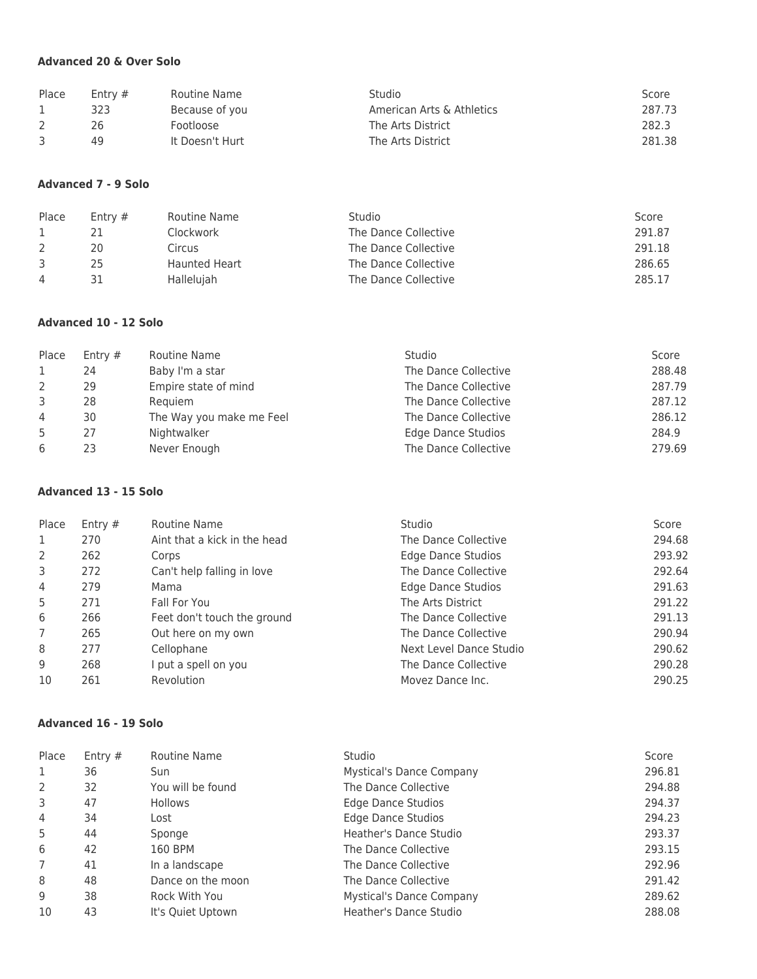# **Advanced 20 & Over Solo**

| Place | Entry $#$ | Routine Name    | <b>Studio</b>             | Score  |
|-------|-----------|-----------------|---------------------------|--------|
|       | 323       | Because of you  | American Arts & Athletics | 287.73 |
|       | 26        | Footloose       | The Arts District         | 282.3  |
|       | 49        | It Doesn't Hurt | The Arts District         | 281.38 |

## **Advanced 7 - 9 Solo**

| Place          | Entry $#$ | Routine Name         | <b>Studio</b>        | Score  |
|----------------|-----------|----------------------|----------------------|--------|
|                |           | Clockwork            | The Dance Collective | 291.87 |
|                | 20        | Circus               | The Dance Collective | 291.18 |
|                | 25        | <b>Haunted Heart</b> | The Dance Collective | 286.65 |
| $\overline{4}$ |           | <b>Halleluiah</b>    | The Dance Collective | 285.17 |

# **Advanced 10 - 12 Solo**

| Place          | Entry $#$ | Routine Name             | <b>Studio</b>        | Score  |
|----------------|-----------|--------------------------|----------------------|--------|
|                | 24        | Baby I'm a star          | The Dance Collective | 288.48 |
| $\mathcal{L}$  | 29        | Empire state of mind     | The Dance Collective | 287.79 |
|                | 28        | Requiem                  | The Dance Collective | 287.12 |
| $\overline{4}$ | 30        | The Way you make me Feel | The Dance Collective | 286.12 |
| .5             | 27        | Nightwalker              | Edge Dance Studios   | 284.9  |
| 6              | 23        | Never Enough             | The Dance Collective | 279.69 |

## **Advanced 13 - 15 Solo**

| Place          | Entry $#$ | Routine Name                 | <b>Studio</b>           | Score  |
|----------------|-----------|------------------------------|-------------------------|--------|
| 1              | 270       | Aint that a kick in the head | The Dance Collective    | 294.68 |
| 2              | 262       | Corps                        | Edge Dance Studios      | 293.92 |
| 3              | 272       | Can't help falling in love   | The Dance Collective    | 292.64 |
| 4              | 279       | Mama                         | Edge Dance Studios      | 291.63 |
| 5              | 271       | Fall For You                 | The Arts District       | 291.22 |
| 6              | 266       | Feet don't touch the ground  | The Dance Collective    | 291.13 |
| $\overline{7}$ | 265       | Out here on my own           | The Dance Collective    | 290.94 |
| 8              | 277       | Cellophane                   | Next Level Dance Studio | 290.62 |
| 9              | 268       | I put a spell on you         | The Dance Collective    | 290.28 |
| 10             | 261       | <b>Revolution</b>            | Movez Dance Inc.        | 290.25 |

### **Advanced 16 - 19 Solo**

| Place          | Entry $#$ | Routine Name      | Studio                          | Score  |
|----------------|-----------|-------------------|---------------------------------|--------|
| 1              | 36        | Sun               | <b>Mystical's Dance Company</b> | 296.81 |
| 2              | 32        | You will be found | The Dance Collective            | 294.88 |
| 3              | 47        | Hollows           | Edge Dance Studios              | 294.37 |
| 4              | 34        | Lost              | <b>Edge Dance Studios</b>       | 294.23 |
| 5              | 44        | Sponge            | Heather's Dance Studio          | 293.37 |
| 6              | 42        | 160 BPM           | The Dance Collective            | 293.15 |
| $\overline{7}$ | 41        | In a landscape    | The Dance Collective            | 292.96 |
| 8              | 48        | Dance on the moon | The Dance Collective            | 291.42 |
| 9              | 38        | Rock With You     | <b>Mystical's Dance Company</b> | 289.62 |
| 10             | 43        | It's Quiet Uptown | Heather's Dance Studio          | 288.08 |